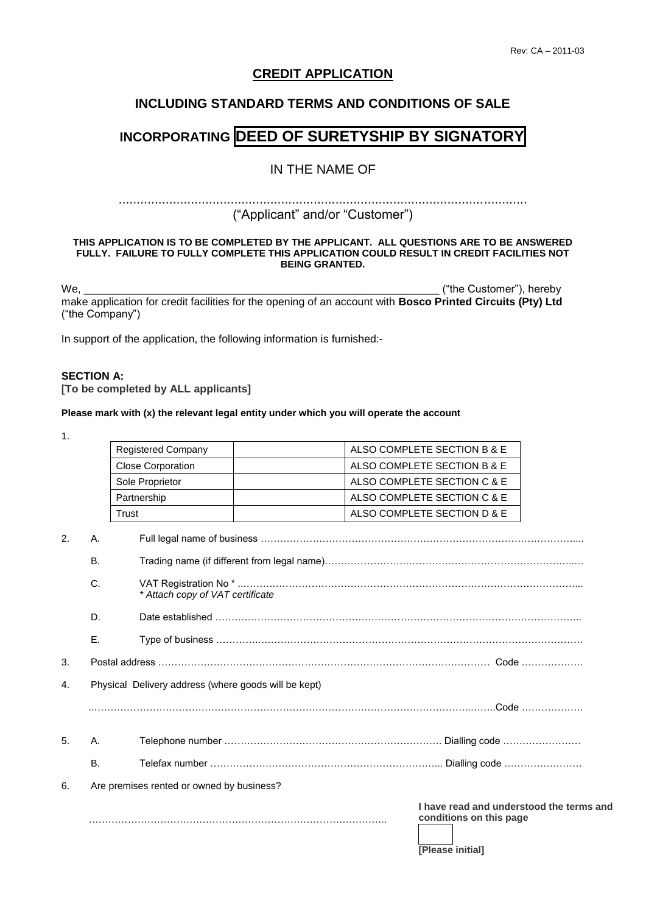## **CREDIT APPLICATION**

## **INCLUDING STANDARD TERMS AND CONDITIONS OF SALE**

# **INCORPORATING DEED OF SURETYSHIP BY SIGNATORY**

## IN THE NAME OF

#### .................................................................................................................

## ("Applicant" and/or "Customer")

#### **THIS APPLICATION IS TO BE COMPLETED BY THE APPLICANT. ALL QUESTIONS ARE TO BE ANSWERED FULLY. FAILURE TO FULLY COMPLETE THIS APPLICATION COULD RESULT IN CREDIT FACILITIES NOT BEING GRANTED.**

We, the Customer"), hereby the contract of the Customer"), hereby the Customer" of the Customer" of the Customer make application for credit facilities for the opening of an account with **Bosco Printed Circuits (Pty) Ltd** ("the Company")

In support of the application, the following information is furnished:-

## **SECTION A:**

**[To be completed by ALL applicants]**

#### **Please mark with (x) the relevant legal entity under which you will operate the account**

1.

|                  |    | Registered Company                                   | ALSO COMPLETE SECTION B & E                                                                    |
|------------------|----|------------------------------------------------------|------------------------------------------------------------------------------------------------|
|                  |    | <b>Close Corporation</b>                             | ALSO COMPLETE SECTION B & E                                                                    |
|                  |    | Sole Proprietor                                      | ALSO COMPLETE SECTION C & E                                                                    |
|                  |    | Partnership                                          | ALSO COMPLETE SECTION C & E                                                                    |
|                  |    | Trust                                                | ALSO COMPLETE SECTION D & E                                                                    |
| $\overline{2}$ . | Α. |                                                      |                                                                                                |
|                  | В. |                                                      |                                                                                                |
|                  | C. | * Attach copy of VAT certificate                     |                                                                                                |
|                  | D. |                                                      |                                                                                                |
|                  | Е. |                                                      |                                                                                                |
| 3.               |    |                                                      |                                                                                                |
| 4.               |    | Physical Delivery address (where goods will be kept) |                                                                                                |
|                  |    |                                                      |                                                                                                |
| 5.               | Α. |                                                      |                                                                                                |
|                  | Β. |                                                      |                                                                                                |
| 6.               |    | Are premises rented or owned by business?            |                                                                                                |
|                  |    |                                                      | I have read and understood the terms and<br>conditions on this page<br><b>[Please initial]</b> |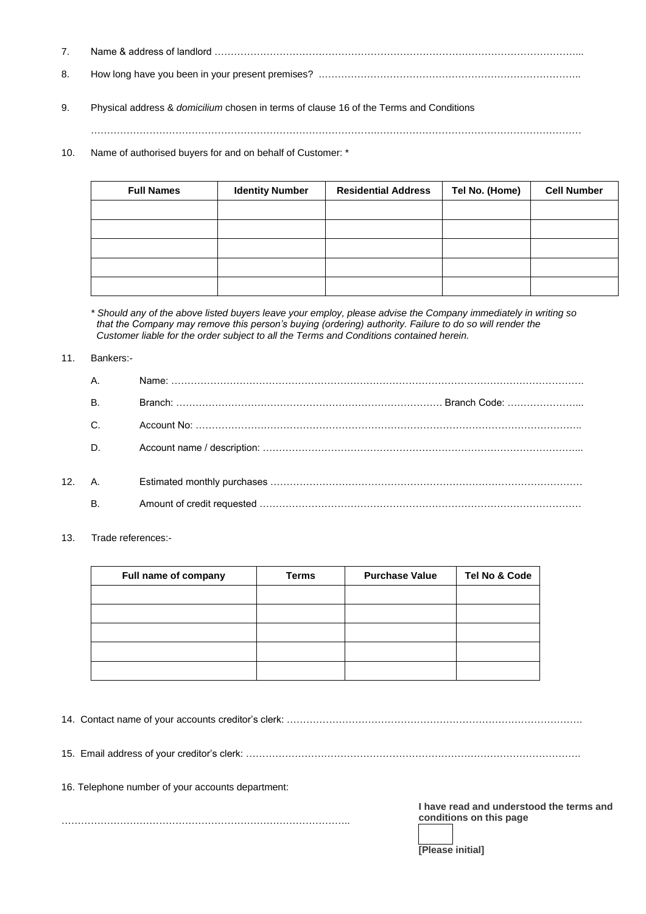- 7. Name & address of landlord …………………………………………………………………………………………………... 8. How long have you been in your present premises? .……………………………………………………………………..
- 9. Physical address & *domicilium* chosen in terms of clause 16 of the Terms and Conditions

…………………………………………………………………………….………………………………………………………

10. Name of authorised buyers for and on behalf of Customer: \*

| <b>Full Names</b> | <b>Identity Number</b> | <b>Residential Address</b> | Tel No. (Home) | <b>Cell Number</b> |
|-------------------|------------------------|----------------------------|----------------|--------------------|
|                   |                        |                            |                |                    |
|                   |                        |                            |                |                    |
|                   |                        |                            |                |                    |
|                   |                        |                            |                |                    |
|                   |                        |                            |                |                    |

*\* Should any of the above listed buyers leave your employ, please advise the Company immediately in writing so that the Company may remove this person's buying (ordering) authority. Failure to do so will render the Customer liable for the order subject to all the Terms and Conditions contained herein.*

#### 11. Bankers:-

|                 | А.           |  |
|-----------------|--------------|--|
|                 | В.           |  |
|                 | C.           |  |
|                 | D.           |  |
| 12 <sub>1</sub> | A. <b>A.</b> |  |
|                 | В.           |  |

13. Trade references:-

| Full name of company | <b>Terms</b> | <b>Purchase Value</b> | Tel No & Code |
|----------------------|--------------|-----------------------|---------------|
|                      |              |                       |               |
|                      |              |                       |               |
|                      |              |                       |               |
|                      |              |                       |               |
|                      |              |                       |               |

| 16. Telephone number of your accounts department: |                                                                                                |
|---------------------------------------------------|------------------------------------------------------------------------------------------------|
|                                                   | I have read and understood the terms and<br>conditions on this page<br><b>IPlease initiall</b> |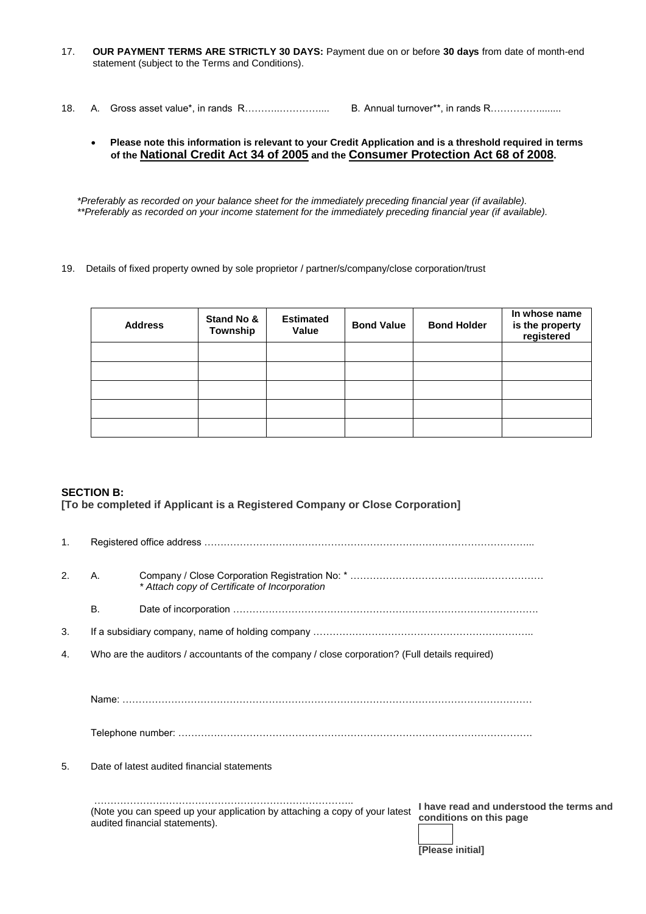- 17. **OUR PAYMENT TERMS ARE STRICTLY 30 DAYS:** Payment due on or before **30 days** from date of month-end statement (subject to the Terms and Conditions).
- 18. A. Gross asset value\*, in rands R………..………….... B. Annual turnover\*\*, in rands R……………........

#### • **Please note this information is relevant to your Credit Application and is a threshold required in terms of the National Credit Act 34 of 2005 and the Consumer Protection Act 68 of 2008.**

*\*Preferably as recorded on your balance sheet for the immediately preceding financial year (if available). \*\*Preferably as recorded on your income statement for the immediately preceding financial year (if available).*

19. Details of fixed property owned by sole proprietor / partner/s/company/close corporation/trust

| <b>Address</b> | Stand No &<br>Township | <b>Estimated</b><br>Value | <b>Bond Value</b> | <b>Bond Holder</b> | In whose name<br>is the property<br>registered |
|----------------|------------------------|---------------------------|-------------------|--------------------|------------------------------------------------|
|                |                        |                           |                   |                    |                                                |
|                |                        |                           |                   |                    |                                                |
|                |                        |                           |                   |                    |                                                |
|                |                        |                           |                   |                    |                                                |
|                |                        |                           |                   |                    |                                                |

#### **SECTION B:**

**[To be completed if Applicant is a Registered Company or Close Corporation]**

| $\mathbf{1}$ .        |           |                                                                                                                                                                                                         |  |  |  |
|-----------------------|-----------|---------------------------------------------------------------------------------------------------------------------------------------------------------------------------------------------------------|--|--|--|
| $\mathcal{P}_{\cdot}$ | Α.        | * Attach copy of Certificate of Incorporation                                                                                                                                                           |  |  |  |
|                       | <b>B.</b> |                                                                                                                                                                                                         |  |  |  |
| 3.                    |           |                                                                                                                                                                                                         |  |  |  |
| 4.                    |           | Who are the auditors / accountants of the company / close corporation? (Full details required)                                                                                                          |  |  |  |
|                       |           |                                                                                                                                                                                                         |  |  |  |
|                       |           |                                                                                                                                                                                                         |  |  |  |
|                       |           |                                                                                                                                                                                                         |  |  |  |
| 5.                    |           | Date of latest audited financial statements                                                                                                                                                             |  |  |  |
|                       |           | I have read and understood the terms and<br>(Note you can speed up your application by attaching a copy of your latest<br>conditions on this page<br>audited financial statements).<br>[Please initial] |  |  |  |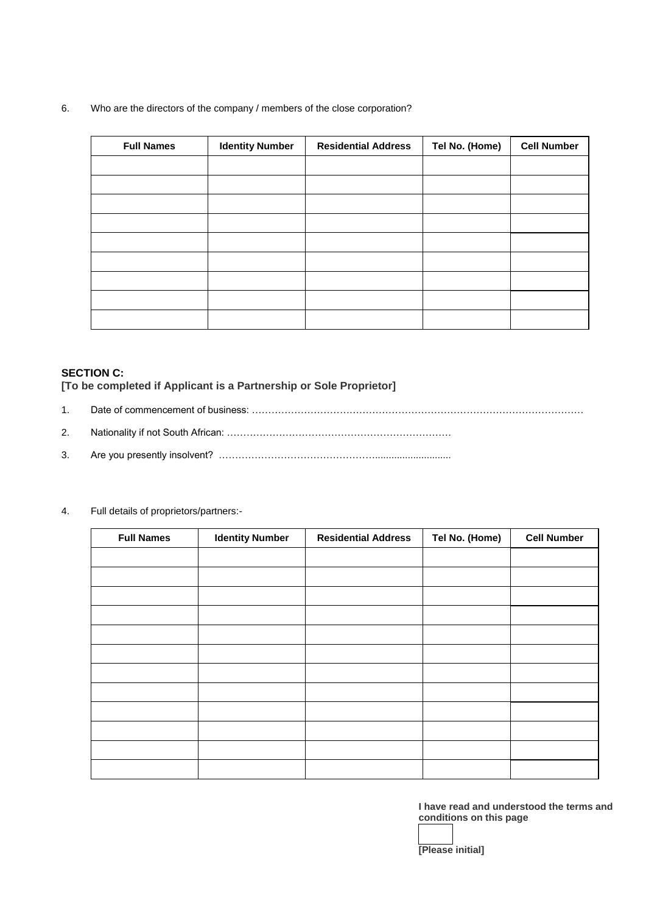### 6. Who are the directors of the company / members of the close corporation?

| <b>Full Names</b> | <b>Identity Number</b> | <b>Residential Address</b> | Tel No. (Home) | <b>Cell Number</b> |
|-------------------|------------------------|----------------------------|----------------|--------------------|
|                   |                        |                            |                |                    |
|                   |                        |                            |                |                    |
|                   |                        |                            |                |                    |
|                   |                        |                            |                |                    |
|                   |                        |                            |                |                    |
|                   |                        |                            |                |                    |
|                   |                        |                            |                |                    |
|                   |                        |                            |                |                    |
|                   |                        |                            |                |                    |

## **SECTION C:**

**[To be completed if Applicant is a Partnership or Sole Proprietor]**

- 1. Date of commencement of business: …………………………………………………………………………………………
- 2. Nationality if not South African: ……………………………………………………………
- 3. Are you presently insolvent? …………………………………………............................

| <b>Full Names</b> | <b>Identity Number</b> | <b>Residential Address</b> | Tel No. (Home) | <b>Cell Number</b> |
|-------------------|------------------------|----------------------------|----------------|--------------------|
|                   |                        |                            |                |                    |
|                   |                        |                            |                |                    |
|                   |                        |                            |                |                    |
|                   |                        |                            |                |                    |
|                   |                        |                            |                |                    |
|                   |                        |                            |                |                    |
|                   |                        |                            |                |                    |
|                   |                        |                            |                |                    |
|                   |                        |                            |                |                    |
|                   |                        |                            |                |                    |
|                   |                        |                            |                |                    |
|                   |                        |                            |                |                    |

4. Full details of proprietors/partners:-

**I have read and understood the terms and conditions on this page**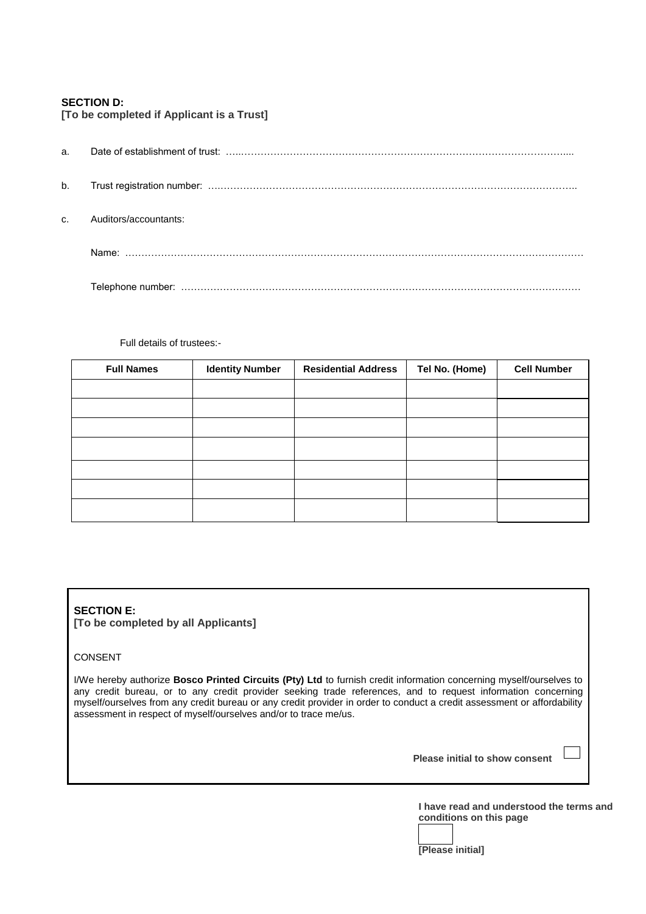## **SECTION D:**

| a.           |                       |
|--------------|-----------------------|
| b.           |                       |
| $\mathbf{C}$ | Auditors/accountants: |
|              |                       |
|              |                       |

Full details of trustees:-

**[To be completed if Applicant is a Trust]**

| <b>Full Names</b> | <b>Identity Number</b> | <b>Residential Address</b> | Tel No. (Home) | <b>Cell Number</b> |
|-------------------|------------------------|----------------------------|----------------|--------------------|
|                   |                        |                            |                |                    |
|                   |                        |                            |                |                    |
|                   |                        |                            |                |                    |
|                   |                        |                            |                |                    |
|                   |                        |                            |                |                    |
|                   |                        |                            |                |                    |
|                   |                        |                            |                |                    |

## **SECTION E: [To be completed by all Applicants]**

#### CONSENT

I/We hereby authorize **Bosco Printed Circuits (Pty) Ltd** to furnish credit information concerning myself/ourselves to any credit bureau, or to any credit provider seeking trade references, and to request information concerning myself/ourselves from any credit bureau or any credit provider in order to conduct a credit assessment or affordability assessment in respect of myself/ourselves and/or to trace me/us.

**Please initial to show consent** 

**I have read and understood the terms and conditions on this page**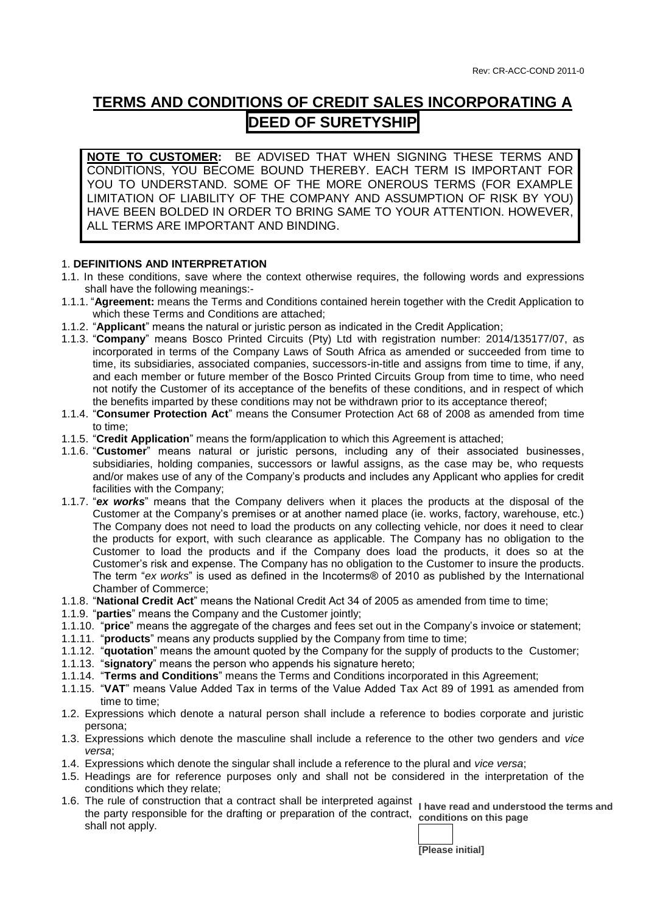# **TERMS AND CONDITIONS OF CREDIT SALES INCORPORATING A DEED OF SURETYSHIP**

**NOTE TO CUSTOMER:** BE ADVISED THAT WHEN SIGNING THESE TERMS AND CONDITIONS, YOU BECOME BOUND THEREBY. EACH TERM IS IMPORTANT FOR YOU TO UNDERSTAND. SOME OF THE MORE ONEROUS TERMS (FOR EXAMPLE LIMITATION OF LIABILITY OF THE COMPANY AND ASSUMPTION OF RISK BY YOU) HAVE BEEN BOLDED IN ORDER TO BRING SAME TO YOUR ATTENTION. HOWEVER, ALL TERMS ARE IMPORTANT AND BINDING.

## 1. **DEFINITIONS AND INTERPRETATION**

- 1.1. In these conditions, save where the context otherwise requires, the following words and expressions shall have the following meanings:-
- 1.1.1. "**Agreement:** means the Terms and Conditions contained herein together with the Credit Application to which these Terms and Conditions are attached;
- 1.1.2. "**Applicant**" means the natural or juristic person as indicated in the Credit Application;
- 1.1.3. "**Company**" means Bosco Printed Circuits (Pty) Ltd with registration number: 2014/135177/07, as incorporated in terms of the Company Laws of South Africa as amended or succeeded from time to time, its subsidiaries, associated companies, successors-in-title and assigns from time to time, if any, and each member or future member of the Bosco Printed Circuits Group from time to time, who need not notify the Customer of its acceptance of the benefits of these conditions, and in respect of which the benefits imparted by these conditions may not be withdrawn prior to its acceptance thereof;
- 1.1.4. "**Consumer Protection Act**" means the Consumer Protection Act 68 of 2008 as amended from time to time;
- 1.1.5. "**Credit Application**" means the form/application to which this Agreement is attached;
- 1.1.6. "**Customer**" means natural or juristic persons, including any of their associated businesses, subsidiaries, holding companies, successors or lawful assigns, as the case may be, who requests and/or makes use of any of the Company's products and includes any Applicant who applies for credit facilities with the Company;
- 1.1.7. "*ex works*" means that the Company delivers when it places the products at the disposal of the Customer at the Company's premises or at another named place (ie. works, factory, warehouse, etc.) The Company does not need to load the products on any collecting vehicle, nor does it need to clear the products for export, with such clearance as applicable. The Company has no obligation to the Customer to load the products and if the Company does load the products, it does so at the Customer's risk and expense. The Company has no obligation to the Customer to insure the products. The term "*ex works*" is used as defined in the Incoterms® of 2010 as published by the International Chamber of Commerce;
- 1.1.8. "**National Credit Act**" means the National Credit Act 34 of 2005 as amended from time to time;
- 1.1.9. "**parties**" means the Company and the Customer jointly;
- 1.1.10. "**price**" means the aggregate of the charges and fees set out in the Company's invoice or statement;
- 1.1.11. "**products**" means any products supplied by the Company from time to time;
- 1.1.12. "**quotation**" means the amount quoted by the Company for the supply of products to the Customer;
- 1.1.13. "**signatory**" means the person who appends his signature hereto;
- 1.1.14. "**Terms and Conditions**" means the Terms and Conditions incorporated in this Agreement;
- 1.1.15. "**VAT**" means Value Added Tax in terms of the Value Added Tax Act 89 of 1991 as amended from time to time;
- 1.2. Expressions which denote a natural person shall include a reference to bodies corporate and juristic persona;
- 1.3. Expressions which denote the masculine shall include a reference to the other two genders and *vice versa*;
- 1.4. Expressions which denote the singular shall include a reference to the plural and *vice versa*;
- 1.5. Headings are for reference purposes only and shall not be considered in the interpretation of the conditions which they relate;
- **I have read and understood the terms and**  1.6. The rule of construction that a contract shall be interpreted against the party responsible for the drafting or preparation of the contract, conditions on this page shall not apply.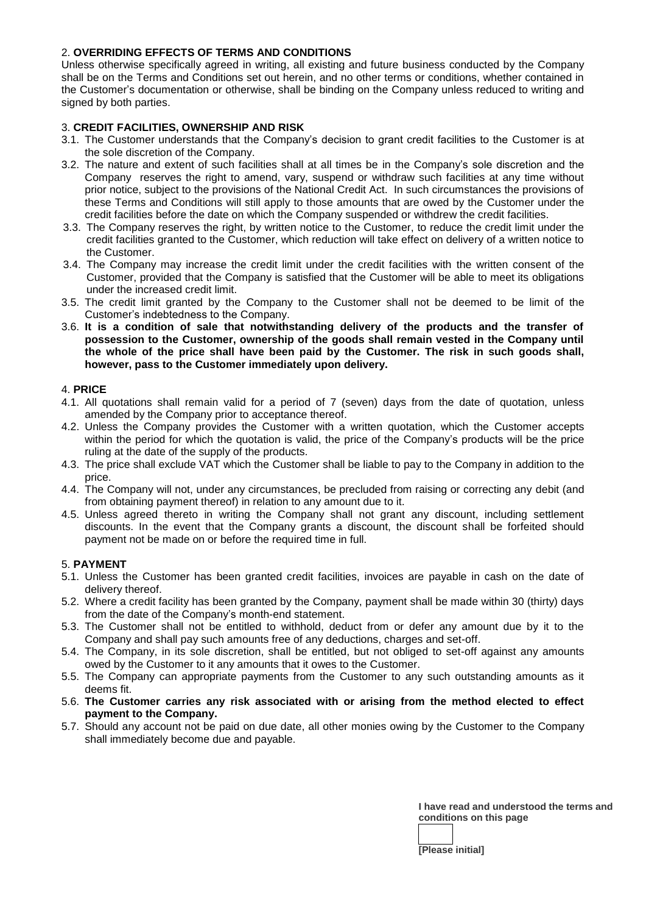## 2. **OVERRIDING EFFECTS OF TERMS AND CONDITIONS**

Unless otherwise specifically agreed in writing, all existing and future business conducted by the Company shall be on the Terms and Conditions set out herein, and no other terms or conditions, whether contained in the Customer's documentation or otherwise, shall be binding on the Company unless reduced to writing and signed by both parties.

## 3. **CREDIT FACILITIES, OWNERSHIP AND RISK**

- 3.1. The Customer understands that the Company's decision to grant credit facilities to the Customer is at the sole discretion of the Company.
- 3.2. The nature and extent of such facilities shall at all times be in the Company's sole discretion and the Company reserves the right to amend, vary, suspend or withdraw such facilities at any time without prior notice, subject to the provisions of the National Credit Act. In such circumstances the provisions of these Terms and Conditions will still apply to those amounts that are owed by the Customer under the credit facilities before the date on which the Company suspended or withdrew the credit facilities.
- 3.3. The Company reserves the right, by written notice to the Customer, to reduce the credit limit under the credit facilities granted to the Customer, which reduction will take effect on delivery of a written notice to the Customer.
- 3.4. The Company may increase the credit limit under the credit facilities with the written consent of the Customer, provided that the Company is satisfied that the Customer will be able to meet its obligations under the increased credit limit.
- 3.5. The credit limit granted by the Company to the Customer shall not be deemed to be limit of the Customer's indebtedness to the Company.
- 3.6. **It is a condition of sale that notwithstanding delivery of the products and the transfer of possession to the Customer, ownership of the goods shall remain vested in the Company until the whole of the price shall have been paid by the Customer. The risk in such goods shall, however, pass to the Customer immediately upon delivery.**

#### 4. **PRICE**

- 4.1. All quotations shall remain valid for a period of 7 (seven) days from the date of quotation, unless amended by the Company prior to acceptance thereof.
- 4.2. Unless the Company provides the Customer with a written quotation, which the Customer accepts within the period for which the quotation is valid, the price of the Company's products will be the price ruling at the date of the supply of the products.
- 4.3. The price shall exclude VAT which the Customer shall be liable to pay to the Company in addition to the price.
- 4.4. The Company will not, under any circumstances, be precluded from raising or correcting any debit (and from obtaining payment thereof) in relation to any amount due to it.
- 4.5. Unless agreed thereto in writing the Company shall not grant any discount, including settlement discounts. In the event that the Company grants a discount, the discount shall be forfeited should payment not be made on or before the required time in full.

## 5. **PAYMENT**

- 5.1. Unless the Customer has been granted credit facilities, invoices are payable in cash on the date of delivery thereof.
- 5.2. Where a credit facility has been granted by the Company, payment shall be made within 30 (thirty) days from the date of the Company's month-end statement.
- 5.3. The Customer shall not be entitled to withhold, deduct from or defer any amount due by it to the Company and shall pay such amounts free of any deductions, charges and set-off.
- 5.4. The Company, in its sole discretion, shall be entitled, but not obliged to set-off against any amounts owed by the Customer to it any amounts that it owes to the Customer.
- 5.5. The Company can appropriate payments from the Customer to any such outstanding amounts as it deems fit.
- 5.6. **The Customer carries any risk associated with or arising from the method elected to effect payment to the Company.**
- 5.7. Should any account not be paid on due date, all other monies owing by the Customer to the Company shall immediately become due and payable.

**I have read and understood the terms and conditions on this page** 

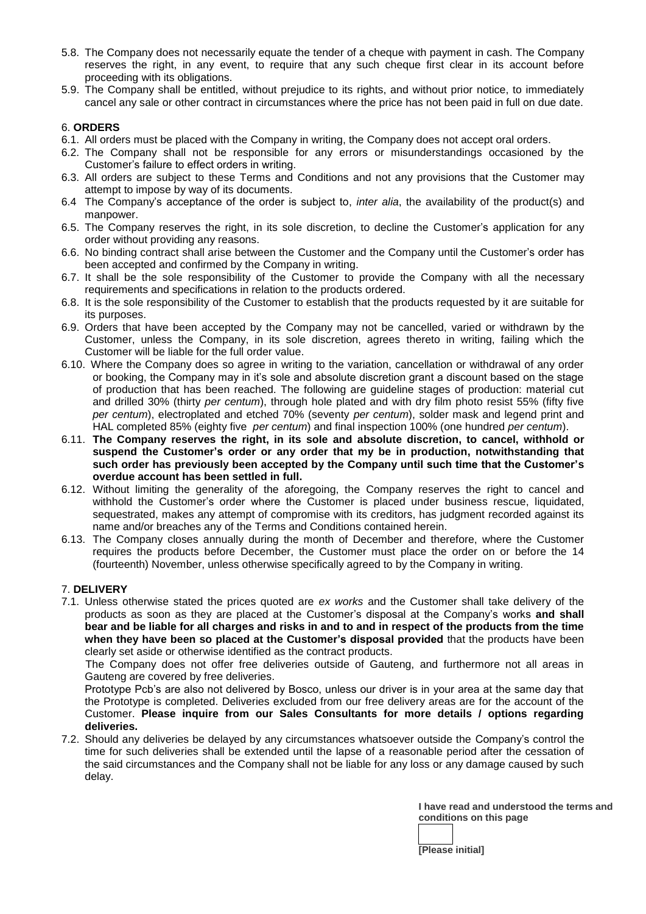- 5.8. The Company does not necessarily equate the tender of a cheque with payment in cash. The Company reserves the right, in any event, to require that any such cheque first clear in its account before proceeding with its obligations.
- 5.9. The Company shall be entitled, without prejudice to its rights, and without prior notice, to immediately cancel any sale or other contract in circumstances where the price has not been paid in full on due date.

## 6. **ORDERS**

- 6.1. All orders must be placed with the Company in writing, the Company does not accept oral orders.
- 6.2. The Company shall not be responsible for any errors or misunderstandings occasioned by the Customer's failure to effect orders in writing.
- 6.3. All orders are subject to these Terms and Conditions and not any provisions that the Customer may attempt to impose by way of its documents.
- 6.4 The Company's acceptance of the order is subject to, *inter alia*, the availability of the product(s) and manpower.
- 6.5. The Company reserves the right, in its sole discretion, to decline the Customer's application for any order without providing any reasons.
- 6.6. No binding contract shall arise between the Customer and the Company until the Customer's order has been accepted and confirmed by the Company in writing.
- 6.7. It shall be the sole responsibility of the Customer to provide the Company with all the necessary requirements and specifications in relation to the products ordered.
- 6.8. It is the sole responsibility of the Customer to establish that the products requested by it are suitable for its purposes.
- 6.9. Orders that have been accepted by the Company may not be cancelled, varied or withdrawn by the Customer, unless the Company, in its sole discretion, agrees thereto in writing, failing which the Customer will be liable for the full order value.
- 6.10. Where the Company does so agree in writing to the variation, cancellation or withdrawal of any order or booking, the Company may in it's sole and absolute discretion grant a discount based on the stage of production that has been reached. The following are guideline stages of production: material cut and drilled 30% (thirty *per centum*), through hole plated and with dry film photo resist 55% (fifty five *per centum*), electroplated and etched 70% (seventy *per centum*), solder mask and legend print and HAL completed 85% (eighty five *per centum*) and final inspection 100% (one hundred *per centum*).
- 6.11. **The Company reserves the right, in its sole and absolute discretion, to cancel, withhold or suspend the Customer's order or any order that my be in production, notwithstanding that such order has previously been accepted by the Company until such time that the Customer's overdue account has been settled in full.**
- 6.12. Without limiting the generality of the aforegoing, the Company reserves the right to cancel and withhold the Customer's order where the Customer is placed under business rescue, liquidated, sequestrated, makes any attempt of compromise with its creditors, has judgment recorded against its name and/or breaches any of the Terms and Conditions contained herein.
- 6.13. The Company closes annually during the month of December and therefore, where the Customer requires the products before December, the Customer must place the order on or before the 14 (fourteenth) November, unless otherwise specifically agreed to by the Company in writing.

## 7. **DELIVERY**

7.1. Unless otherwise stated the prices quoted are *ex works* and the Customer shall take delivery of the products as soon as they are placed at the Customer's disposal at the Company's works **and shall bear and be liable for all charges and risks in and to and in respect of the products from the time when they have been so placed at the Customer's disposal provided** that the products have been clearly set aside or otherwise identified as the contract products.

 The Company does not offer free deliveries outside of Gauteng, and furthermore not all areas in Gauteng are covered by free deliveries.

Prototype Pcb's are also not delivered by Bosco, unless our driver is in your area at the same day that the Prototype is completed. Deliveries excluded from our free delivery areas are for the account of the Customer. **Please inquire from our Sales Consultants for more details / options regarding deliveries.**

7.2. Should any deliveries be delayed by any circumstances whatsoever outside the Company's control the time for such deliveries shall be extended until the lapse of a reasonable period after the cessation of the said circumstances and the Company shall not be liable for any loss or any damage caused by such delay.

> **I have read and understood the terms and conditions on this page**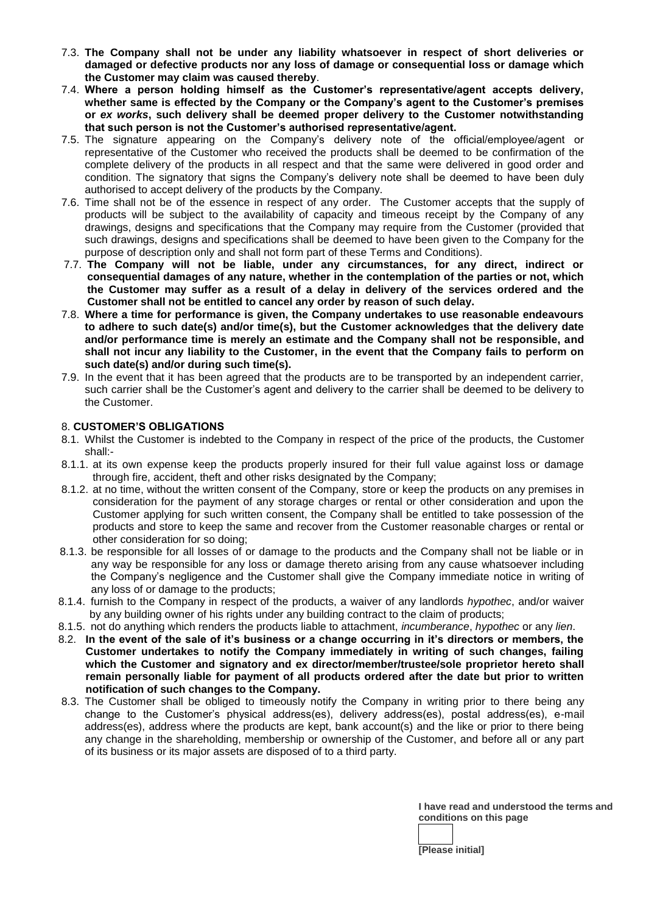- 7.3. **The Company shall not be under any liability whatsoever in respect of short deliveries or damaged or defective products nor any loss of damage or consequential loss or damage which the Customer may claim was caused thereby**.
- 7.4. **Where a person holding himself as the Customer's representative/agent accepts delivery, whether same is effected by the Company or the Company's agent to the Customer's premises or** *ex works***, such delivery shall be deemed proper delivery to the Customer notwithstanding that such person is not the Customer's authorised representative/agent.**
- 7.5. The signature appearing on the Company's delivery note of the official/employee/agent or representative of the Customer who received the products shall be deemed to be confirmation of the complete delivery of the products in all respect and that the same were delivered in good order and condition. The signatory that signs the Company's delivery note shall be deemed to have been duly authorised to accept delivery of the products by the Company.
- 7.6. Time shall not be of the essence in respect of any order. The Customer accepts that the supply of products will be subject to the availability of capacity and timeous receipt by the Company of any drawings, designs and specifications that the Company may require from the Customer (provided that such drawings, designs and specifications shall be deemed to have been given to the Company for the purpose of description only and shall not form part of these Terms and Conditions).
- 7.7. **The Company will not be liable, under any circumstances, for any direct, indirect or consequential damages of any nature, whether in the contemplation of the parties or not, which the Customer may suffer as a result of a delay in delivery of the services ordered and the Customer shall not be entitled to cancel any order by reason of such delay.**
- 7.8. **Where a time for performance is given, the Company undertakes to use reasonable endeavours to adhere to such date(s) and/or time(s), but the Customer acknowledges that the delivery date and/or performance time is merely an estimate and the Company shall not be responsible, and shall not incur any liability to the Customer, in the event that the Company fails to perform on such date(s) and/or during such time(s).**
- 7.9. In the event that it has been agreed that the products are to be transported by an independent carrier, such carrier shall be the Customer's agent and delivery to the carrier shall be deemed to be delivery to the Customer.

## 8. **CUSTOMER'S OBLIGATIONS**

- 8.1. Whilst the Customer is indebted to the Company in respect of the price of the products, the Customer shall:-
- 8.1.1. at its own expense keep the products properly insured for their full value against loss or damage through fire, accident, theft and other risks designated by the Company;
- 8.1.2. at no time, without the written consent of the Company, store or keep the products on any premises in consideration for the payment of any storage charges or rental or other consideration and upon the Customer applying for such written consent, the Company shall be entitled to take possession of the products and store to keep the same and recover from the Customer reasonable charges or rental or other consideration for so doing;
- 8.1.3. be responsible for all losses of or damage to the products and the Company shall not be liable or in any way be responsible for any loss or damage thereto arising from any cause whatsoever including the Company's negligence and the Customer shall give the Company immediate notice in writing of any loss of or damage to the products;
- 8.1.4. furnish to the Company in respect of the products, a waiver of any landlords *hypothec*, and/or waiver by any building owner of his rights under any building contract to the claim of products;
- 8.1.5. not do anything which renders the products liable to attachment, *incumberance*, *hypothec* or any *lien*.
- 8.2. **In the event of the sale of it's business or a change occurring in it's directors or members, the Customer undertakes to notify the Company immediately in writing of such changes, failing which the Customer and signatory and ex director/member/trustee/sole proprietor hereto shall remain personally liable for payment of all products ordered after the date but prior to written notification of such changes to the Company.**
- 8.3. The Customer shall be obliged to timeously notify the Company in writing prior to there being any change to the Customer's physical address(es), delivery address(es), postal address(es), e-mail address(es), address where the products are kept, bank account(s) and the like or prior to there being any change in the shareholding, membership or ownership of the Customer, and before all or any part of its business or its major assets are disposed of to a third party.

**I have read and understood the terms and conditions on this page**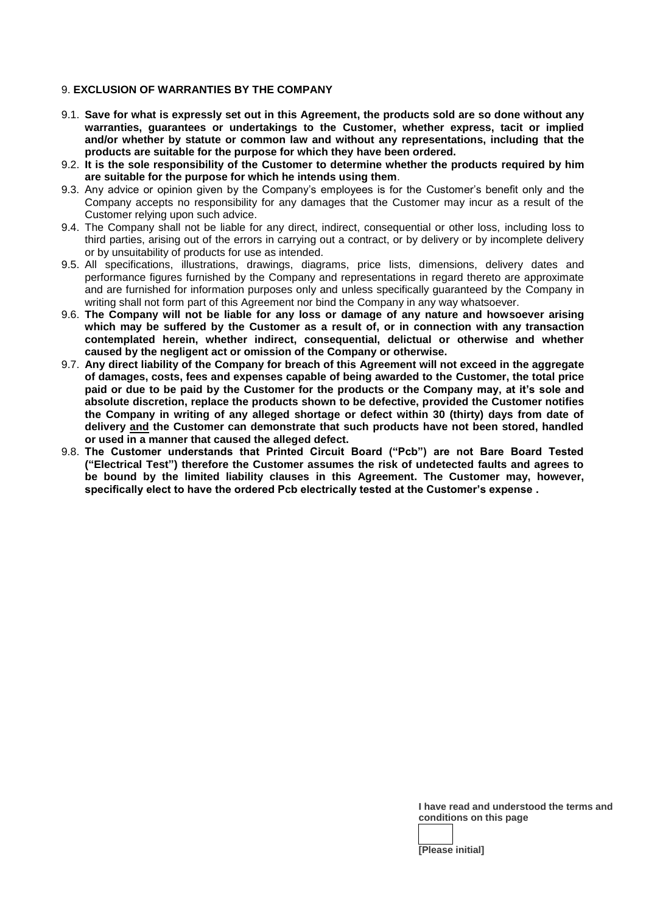## 9. **EXCLUSION OF WARRANTIES BY THE COMPANY**

- 9.1. **Save for what is expressly set out in this Agreement, the products sold are so done without any warranties, guarantees or undertakings to the Customer, whether express, tacit or implied and/or whether by statute or common law and without any representations, including that the products are suitable for the purpose for which they have been ordered.**
- 9.2. **It is the sole responsibility of the Customer to determine whether the products required by him are suitable for the purpose for which he intends using them**.
- 9.3. Any advice or opinion given by the Company's employees is for the Customer's benefit only and the Company accepts no responsibility for any damages that the Customer may incur as a result of the Customer relying upon such advice.
- 9.4. The Company shall not be liable for any direct, indirect, consequential or other loss, including loss to third parties, arising out of the errors in carrying out a contract, or by delivery or by incomplete delivery or by unsuitability of products for use as intended.
- 9.5. All specifications, illustrations, drawings, diagrams, price lists, dimensions, delivery dates and performance figures furnished by the Company and representations in regard thereto are approximate and are furnished for information purposes only and unless specifically guaranteed by the Company in writing shall not form part of this Agreement nor bind the Company in any way whatsoever.
- 9.6. **The Company will not be liable for any loss or damage of any nature and howsoever arising which may be suffered by the Customer as a result of, or in connection with any transaction contemplated herein, whether indirect, consequential, delictual or otherwise and whether caused by the negligent act or omission of the Company or otherwise.**
- 9.7. **Any direct liability of the Company for breach of this Agreement will not exceed in the aggregate of damages, costs, fees and expenses capable of being awarded to the Customer, the total price paid or due to be paid by the Customer for the products or the Company may, at it's sole and absolute discretion, replace the products shown to be defective, provided the Customer notifies the Company in writing of any alleged shortage or defect within 30 (thirty) days from date of delivery and the Customer can demonstrate that such products have not been stored, handled or used in a manner that caused the alleged defect.**
- 9.8. **The Customer understands that Printed Circuit Board ("Pcb") are not Bare Board Tested ("Electrical Test") therefore the Customer assumes the risk of undetected faults and agrees to be bound by the limited liability clauses in this Agreement. The Customer may, however, specifically elect to have the ordered Pcb electrically tested at the Customer's expense .**

**I have read and understood the terms and conditions on this page**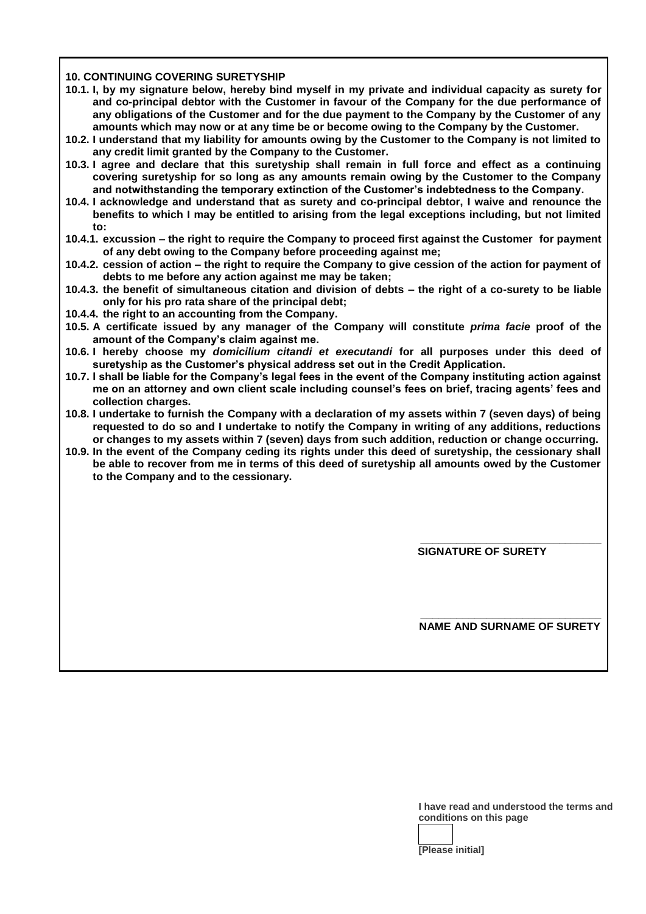#### **10. CONTINUING COVERING SURETYSHIP**

- **10.1. I, by my signature below, hereby bind myself in my private and individual capacity as surety for and co-principal debtor with the Customer in favour of the Company for the due performance of any obligations of the Customer and for the due payment to the Company by the Customer of any amounts which may now or at any time be or become owing to the Company by the Customer.**
- **10.2. I understand that my liability for amounts owing by the Customer to the Company is not limited to any credit limit granted by the Company to the Customer.**
- **10.3. I agree and declare that this suretyship shall remain in full force and effect as a continuing covering suretyship for so long as any amounts remain owing by the Customer to the Company and notwithstanding the temporary extinction of the Customer's indebtedness to the Company.**
- **10.4. I acknowledge and understand that as surety and co-principal debtor, I waive and renounce the benefits to which I may be entitled to arising from the legal exceptions including, but not limited to:**
- **10.4.1. excussion – the right to require the Company to proceed first against the Customer for payment of any debt owing to the Company before proceeding against me;**
- **10.4.2. cession of action – the right to require the Company to give cession of the action for payment of debts to me before any action against me may be taken;**
- **10.4.3. the benefit of simultaneous citation and division of debts – the right of a co-surety to be liable only for his pro rata share of the principal debt;**
- **10.4.4. the right to an accounting from the Company.**
- **10.5. A certificate issued by any manager of the Company will constitute** *prima facie* **proof of the amount of the Company's claim against me.**
- **10.6. I hereby choose my** *domicilium citandi et executandi* **for all purposes under this deed of suretyship as the Customer's physical address set out in the Credit Application.**
- **10.7. I shall be liable for the Company's legal fees in the event of the Company instituting action against me on an attorney and own client scale including counsel's fees on brief, tracing agents' fees and collection charges.**
- **10.8. I undertake to furnish the Company with a declaration of my assets within 7 (seven days) of being requested to do so and I undertake to notify the Company in writing of any additions, reductions or changes to my assets within 7 (seven) days from such addition, reduction or change occurring.**
- **10.9. In the event of the Company ceding its rights under this deed of suretyship, the cessionary shall be able to recover from me in terms of this deed of suretyship all amounts owed by the Customer to the Company and to the cessionary.**

**\_\_\_\_\_\_\_\_\_\_\_\_\_\_\_\_\_\_\_\_\_\_\_\_\_\_\_\_\_\_ SIGNATURE OF SURETY**

**\_\_\_\_\_\_\_\_\_\_\_\_\_\_\_\_\_\_\_\_\_\_\_\_\_\_\_\_\_\_ NAME AND SURNAME OF SURETY**

> **I have read and understood the terms and conditions on this page**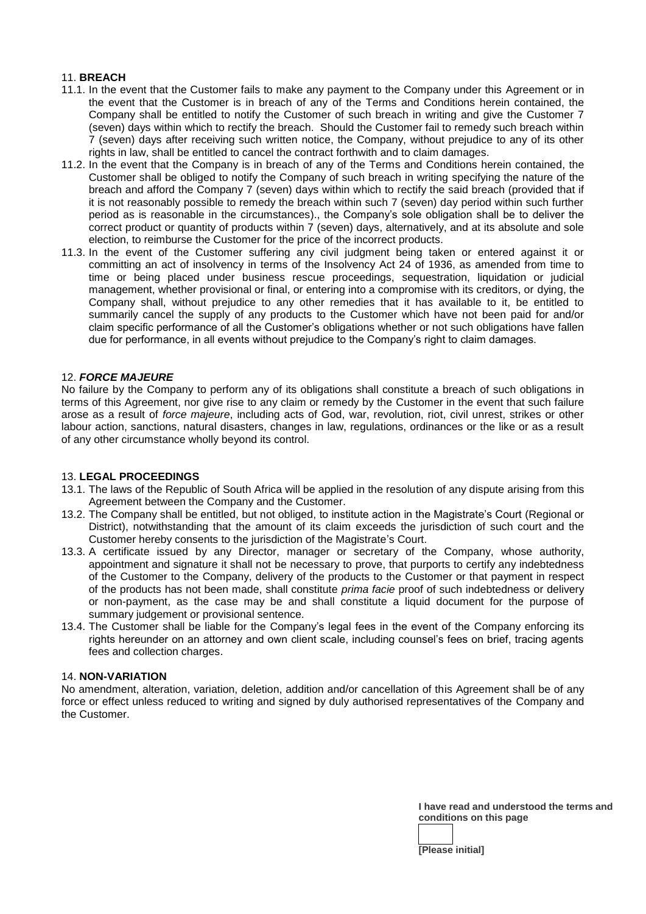## 11. **BREACH**

- 11.1. In the event that the Customer fails to make any payment to the Company under this Agreement or in the event that the Customer is in breach of any of the Terms and Conditions herein contained, the Company shall be entitled to notify the Customer of such breach in writing and give the Customer 7 (seven) days within which to rectify the breach. Should the Customer fail to remedy such breach within 7 (seven) days after receiving such written notice, the Company, without prejudice to any of its other rights in law, shall be entitled to cancel the contract forthwith and to claim damages.
- 11.2. In the event that the Company is in breach of any of the Terms and Conditions herein contained, the Customer shall be obliged to notify the Company of such breach in writing specifying the nature of the breach and afford the Company 7 (seven) days within which to rectify the said breach (provided that if it is not reasonably possible to remedy the breach within such 7 (seven) day period within such further period as is reasonable in the circumstances)., the Company's sole obligation shall be to deliver the correct product or quantity of products within 7 (seven) days, alternatively, and at its absolute and sole election, to reimburse the Customer for the price of the incorrect products.
- 11.3. In the event of the Customer suffering any civil judgment being taken or entered against it or committing an act of insolvency in terms of the Insolvency Act 24 of 1936, as amended from time to time or being placed under business rescue proceedings, sequestration, liquidation or judicial management, whether provisional or final, or entering into a compromise with its creditors, or dying, the Company shall, without prejudice to any other remedies that it has available to it, be entitled to summarily cancel the supply of any products to the Customer which have not been paid for and/or claim specific performance of all the Customer's obligations whether or not such obligations have fallen due for performance, in all events without prejudice to the Company's right to claim damages.

### 12. *FORCE MAJEURE*

No failure by the Company to perform any of its obligations shall constitute a breach of such obligations in terms of this Agreement, nor give rise to any claim or remedy by the Customer in the event that such failure arose as a result of *force majeure*, including acts of God, war, revolution, riot, civil unrest, strikes or other labour action, sanctions, natural disasters, changes in law, regulations, ordinances or the like or as a result of any other circumstance wholly beyond its control.

#### 13. **LEGAL PROCEEDINGS**

- 13.1. The laws of the Republic of South Africa will be applied in the resolution of any dispute arising from this Agreement between the Company and the Customer.
- 13.2. The Company shall be entitled, but not obliged, to institute action in the Magistrate's Court (Regional or District), notwithstanding that the amount of its claim exceeds the jurisdiction of such court and the Customer hereby consents to the jurisdiction of the Magistrate's Court.
- 13.3. A certificate issued by any Director, manager or secretary of the Company, whose authority, appointment and signature it shall not be necessary to prove, that purports to certify any indebtedness of the Customer to the Company, delivery of the products to the Customer or that payment in respect of the products has not been made, shall constitute *prima facie* proof of such indebtedness or delivery or non-payment, as the case may be and shall constitute a liquid document for the purpose of summary judgement or provisional sentence.
- 13.4. The Customer shall be liable for the Company's legal fees in the event of the Company enforcing its rights hereunder on an attorney and own client scale, including counsel's fees on brief, tracing agents fees and collection charges.

#### 14. **NON-VARIATION**

No amendment, alteration, variation, deletion, addition and/or cancellation of this Agreement shall be of any force or effect unless reduced to writing and signed by duly authorised representatives of the Company and the Customer.

> **I have read and understood the terms and conditions on this page**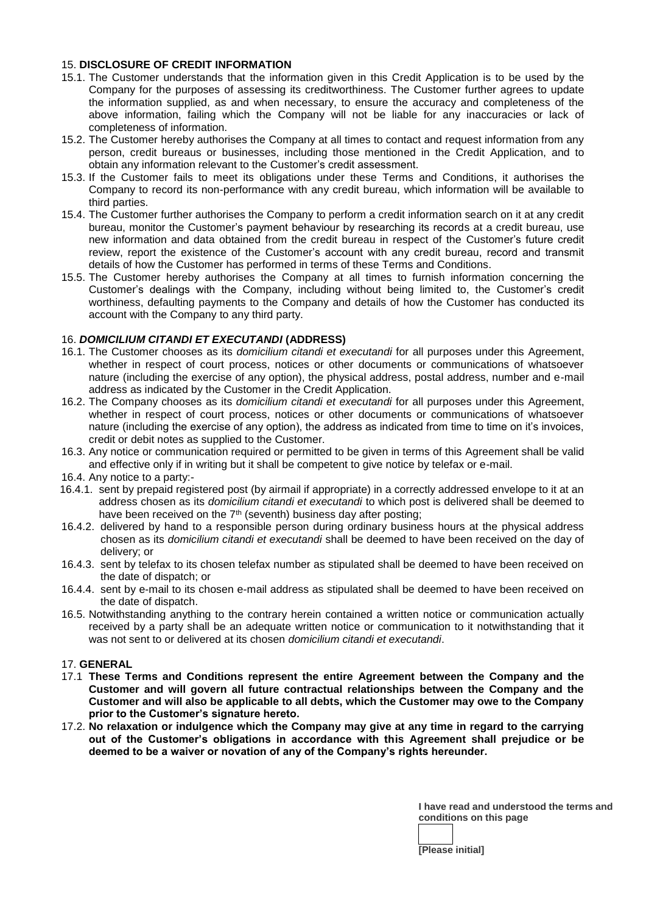## 15. **DISCLOSURE OF CREDIT INFORMATION**

- 15.1. The Customer understands that the information given in this Credit Application is to be used by the Company for the purposes of assessing its creditworthiness. The Customer further agrees to update the information supplied, as and when necessary, to ensure the accuracy and completeness of the above information, failing which the Company will not be liable for any inaccuracies or lack of completeness of information.
- 15.2. The Customer hereby authorises the Company at all times to contact and request information from any person, credit bureaus or businesses, including those mentioned in the Credit Application, and to obtain any information relevant to the Customer's credit assessment.
- 15.3. If the Customer fails to meet its obligations under these Terms and Conditions, it authorises the Company to record its non-performance with any credit bureau, which information will be available to third parties.
- 15.4. The Customer further authorises the Company to perform a credit information search on it at any credit bureau, monitor the Customer's payment behaviour by researching its records at a credit bureau, use new information and data obtained from the credit bureau in respect of the Customer's future credit review, report the existence of the Customer's account with any credit bureau, record and transmit details of how the Customer has performed in terms of these Terms and Conditions.
- 15.5. The Customer hereby authorises the Company at all times to furnish information concerning the Customer's dealings with the Company, including without being limited to, the Customer's credit worthiness, defaulting payments to the Company and details of how the Customer has conducted its account with the Company to any third party.

## 16. *DOMICILIUM CITANDI ET EXECUTANDI* **(ADDRESS)**

- 16.1. The Customer chooses as its *domicilium citandi et executandi* for all purposes under this Agreement, whether in respect of court process, notices or other documents or communications of whatsoever nature (including the exercise of any option), the physical address, postal address, number and e-mail address as indicated by the Customer in the Credit Application.
- 16.2. The Company chooses as its *domicilium citandi et executandi* for all purposes under this Agreement, whether in respect of court process, notices or other documents or communications of whatsoever nature (including the exercise of any option), the address as indicated from time to time on it's invoices, credit or debit notes as supplied to the Customer.
- 16.3. Any notice or communication required or permitted to be given in terms of this Agreement shall be valid and effective only if in writing but it shall be competent to give notice by telefax or e-mail.
- 16.4. Any notice to a party:-
- 16.4.1. sent by prepaid registered post (by airmail if appropriate) in a correctly addressed envelope to it at an address chosen as its *domicilium citandi et executandi* to which post is delivered shall be deemed to have been received on the  $7<sup>th</sup>$  (seventh) business day after posting;
- 16.4.2. delivered by hand to a responsible person during ordinary business hours at the physical address chosen as its *domicilium citandi et executandi* shall be deemed to have been received on the day of delivery; or
- 16.4.3. sent by telefax to its chosen telefax number as stipulated shall be deemed to have been received on the date of dispatch; or
- 16.4.4. sent by e-mail to its chosen e-mail address as stipulated shall be deemed to have been received on the date of dispatch.
- 16.5. Notwithstanding anything to the contrary herein contained a written notice or communication actually received by a party shall be an adequate written notice or communication to it notwithstanding that it was not sent to or delivered at its chosen *domicilium citandi et executandi*.

#### 17. **GENERAL**

- 17.1 **These Terms and Conditions represent the entire Agreement between the Company and the Customer and will govern all future contractual relationships between the Company and the Customer and will also be applicable to all debts, which the Customer may owe to the Company prior to the Customer's signature hereto.**
- 17.2. **No relaxation or indulgence which the Company may give at any time in regard to the carrying out of the Customer's obligations in accordance with this Agreement shall prejudice or be deemed to be a waiver or novation of any of the Company's rights hereunder.**

**I have read and understood the terms and conditions on this page**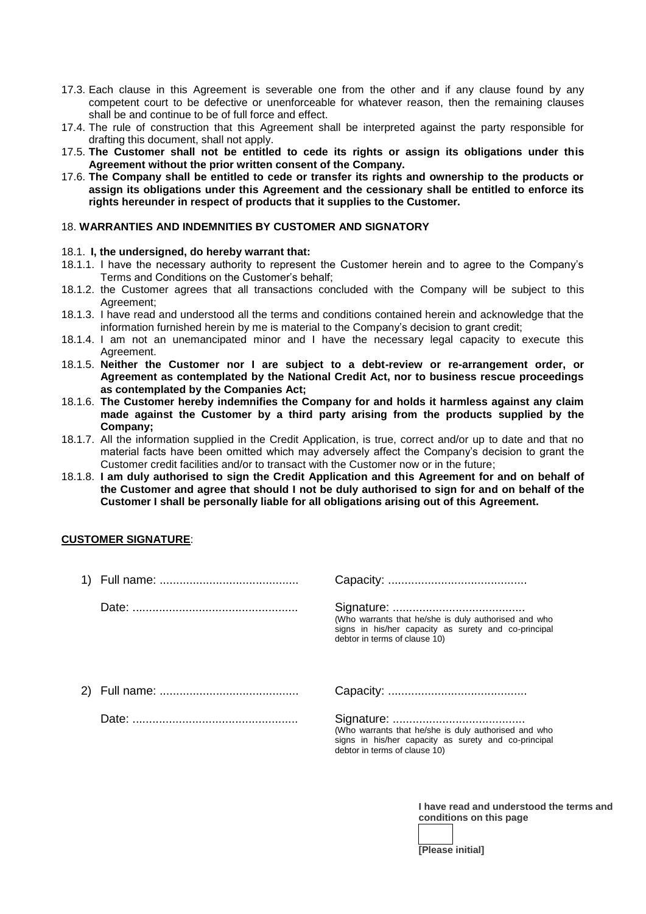- 17.3. Each clause in this Agreement is severable one from the other and if any clause found by any competent court to be defective or unenforceable for whatever reason, then the remaining clauses shall be and continue to be of full force and effect.
- 17.4. The rule of construction that this Agreement shall be interpreted against the party responsible for drafting this document, shall not apply.
- 17.5. **The Customer shall not be entitled to cede its rights or assign its obligations under this Agreement without the prior written consent of the Company.**
- 17.6. **The Company shall be entitled to cede or transfer its rights and ownership to the products or assign its obligations under this Agreement and the cessionary shall be entitled to enforce its rights hereunder in respect of products that it supplies to the Customer.**

#### 18. **WARRANTIES AND INDEMNITIES BY CUSTOMER AND SIGNATORY**

### 18.1. **I, the undersigned, do hereby warrant that:**

- 18.1.1. I have the necessary authority to represent the Customer herein and to agree to the Company's Terms and Conditions on the Customer's behalf;
- 18.1.2. the Customer agrees that all transactions concluded with the Company will be subject to this Agreement;
- 18.1.3. I have read and understood all the terms and conditions contained herein and acknowledge that the information furnished herein by me is material to the Company's decision to grant credit;
- 18.1.4. I am not an unemancipated minor and I have the necessary legal capacity to execute this Agreement.
- 18.1.5. **Neither the Customer nor I are subject to a debt-review or re-arrangement order, or Agreement as contemplated by the National Credit Act, nor to business rescue proceedings as contemplated by the Companies Act;**
- 18.1.6. **The Customer hereby indemnifies the Company for and holds it harmless against any claim made against the Customer by a third party arising from the products supplied by the Company;**
- 18.1.7. All the information supplied in the Credit Application, is true, correct and/or up to date and that no material facts have been omitted which may adversely affect the Company's decision to grant the Customer credit facilities and/or to transact with the Customer now or in the future;
- 18.1.8. **I am duly authorised to sign the Credit Application and this Agreement for and on behalf of the Customer and agree that should I not be duly authorised to sign for and on behalf of the Customer I shall be personally liable for all obligations arising out of this Agreement.**

## **CUSTOMER SIGNATURE**:

|  | (Who warrants that he/she is duly authorised and who<br>signs in his/her capacity as surety and co-principal<br>debtor in terms of clause 10) |
|--|-----------------------------------------------------------------------------------------------------------------------------------------------|
|  |                                                                                                                                               |
|  | (Who warrants that he/she is duly authorised and who<br>signs in his/her capacity as surety and co-principal<br>debtor in terms of clause 10) |

**I have read and understood the terms and conditions on this page**